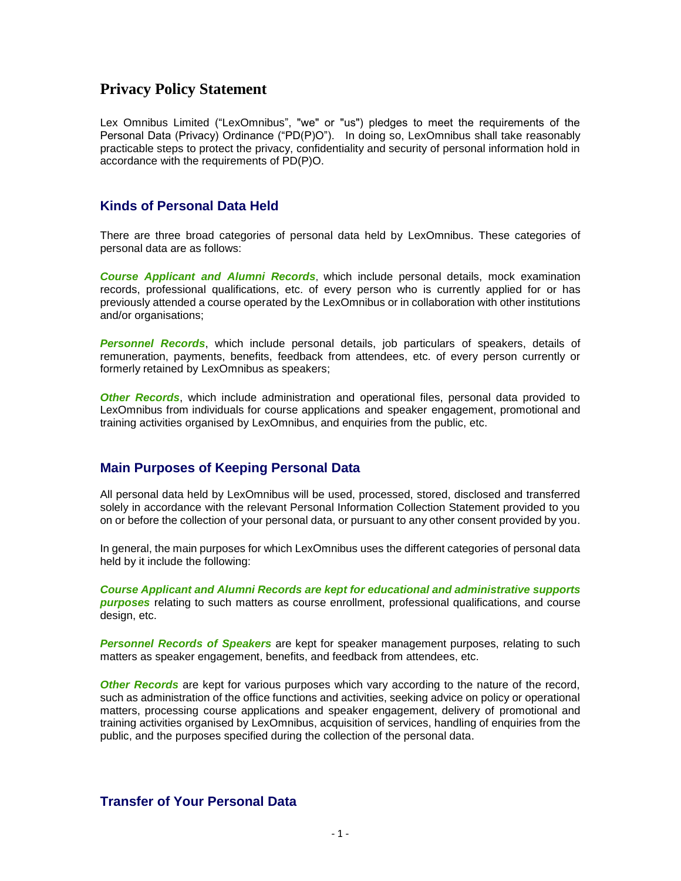## **Privacy Policy Statement**

Lex Omnibus Limited ("LexOmnibus", "we" or "us") pledges to meet the requirements of the Personal Data (Privacy) Ordinance ("PD(P)O"). In doing so, LexOmnibus shall take reasonably practicable steps to protect the privacy, confidentiality and security of personal information hold in accordance with the requirements of PD(P)O.

#### **Kinds of Personal Data Held**

There are three broad categories of personal data held by LexOmnibus. These categories of personal data are as follows:

*Course Applicant and Alumni Records*, which include personal details, mock examination records, professional qualifications, etc. of every person who is currently applied for or has previously attended a course operated by the LexOmnibus or in collaboration with other institutions and/or organisations;

*Personnel Records*, which include personal details, job particulars of speakers, details of remuneration, payments, benefits, feedback from attendees, etc. of every person currently or formerly retained by LexOmnibus as speakers;

*Other Records*, which include administration and operational files, personal data provided to LexOmnibus from individuals for course applications and speaker engagement, promotional and training activities organised by LexOmnibus, and enquiries from the public, etc.

### **Main Purposes of Keeping Personal Data**

All personal data held by LexOmnibus will be used, processed, stored, disclosed and transferred solely in accordance with the relevant Personal Information Collection Statement provided to you on or before the collection of your personal data, or pursuant to any other consent provided by you.

In general, the main purposes for which LexOmnibus uses the different categories of personal data held by it include the following:

*Course Applicant and Alumni Records are kept for educational and administrative supports purposes* relating to such matters as course enrollment, professional qualifications, and course design, etc.

*Personnel Records of Speakers* are kept for speaker management purposes, relating to such matters as speaker engagement, benefits, and feedback from attendees, etc.

*Other Records* are kept for various purposes which vary according to the nature of the record, such as administration of the office functions and activities, seeking advice on policy or operational matters, processing course applications and speaker engagement, delivery of promotional and training activities organised by LexOmnibus, acquisition of services, handling of enquiries from the public, and the purposes specified during the collection of the personal data.

### **Transfer of Your Personal Data**